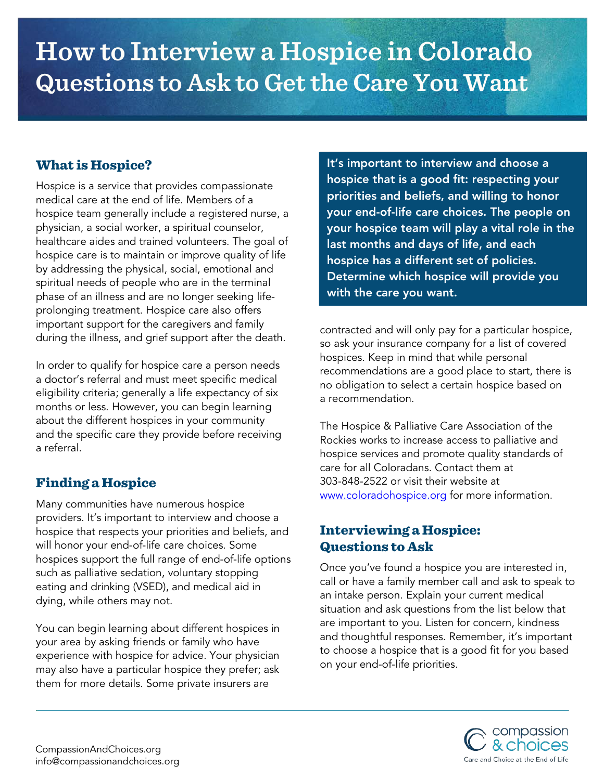# **How to Interview a Hospice in Colorado Questions to Ask to Get the Care You Want**

## What is Hospice?

Hospice is a service that provides compassionate medical care at the end of life. Members of a hospice team generally include a registered nurse, a physician, a social worker, a spiritual counselor, healthcare aides and trained volunteers. The goal of hospice care is to maintain or improve quality of life by addressing the physical, social, emotional and spiritual needs of people who are in the terminal phase of an illness and are no longer seeking lifeprolonging treatment. Hospice care also offers important support for the caregivers and family during the illness, and grief support after the death.

In order to qualify for hospice care a person needs a doctor's referral and must meet specific medical eligibility criteria; generally a life expectancy of six months or less. However, you can begin learning about the different hospices in your community and the specific care they provide before receiving a referral.

## Finding a Hospice

Many communities have numerous hospice providers. It's important to interview and choose a hospice that respects your priorities and beliefs, and will honor your end-of-life care choices. Some hospices support the full range of end-of-life options such as palliative sedation, voluntary stopping eating and drinking (VSED), and medical aid in dying, while others may not.

You can begin learning about different hospices in your area by asking friends or family who have experience with hospice for advice. Your physician may also have a particular hospice they prefer; ask them for more details. Some private insurers are

It's important to interview and choose a hospice that is a good fit: respecting your priorities and beliefs, and willing to honor your end-of-life care choices. The people on your hospice team will play a vital role in the last months and days of life, and each hospice has a different set of policies. Determine which hospice will provide you with the care you want.

contracted and will only pay for a particular hospice, so ask your insurance company for a list of covered hospices. Keep in mind that while personal recommendations are a good place to start, there is no obligation to select a certain hospice based on a recommendation.

The Hospice & Palliative Care Association of the Rockies works to increase access to palliative and hospice services and promote quality standards of care for all Coloradans. Contact them at 303-848-2522 or visit their website at [www.coloradohospice.org](http://www.coloradohospice.org/) for more information.

# Interviewing a Hospice: Questions to Ask

Once you've found a hospice you are interested in, call or have a family member call and ask to speak to an intake person. Explain your current medical situation and ask questions from the list below that are important to you. Listen for concern, kindness and thoughtful responses. Remember, it's important to choose a hospice that is a good fit for you based on your end-of-life priorities.